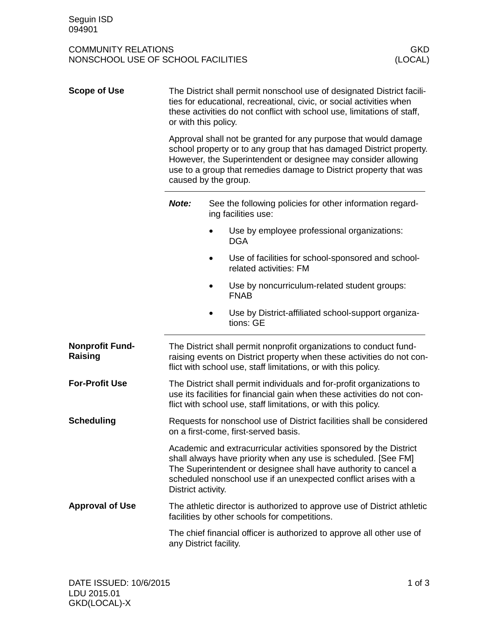COMMUNITY RELATIONS<br>
NONSCHOOL USE OF SCHOOL FACILITIES<br>
(LOCAL) NONSCHOOL USE OF SCHOOL FACILITIES

| <b>Scope of Use</b>               | The District shall permit nonschool use of designated District facili-<br>ties for educational, recreational, civic, or social activities when<br>these activities do not conflict with school use, limitations of staff,<br>or with this policy.<br>Approval shall not be granted for any purpose that would damage<br>school property or to any group that has damaged District property.<br>However, the Superintendent or designee may consider allowing<br>use to a group that remedies damage to District property that was<br>caused by the group. |                                                                                                 |  |
|-----------------------------------|-----------------------------------------------------------------------------------------------------------------------------------------------------------------------------------------------------------------------------------------------------------------------------------------------------------------------------------------------------------------------------------------------------------------------------------------------------------------------------------------------------------------------------------------------------------|-------------------------------------------------------------------------------------------------|--|
|                                   |                                                                                                                                                                                                                                                                                                                                                                                                                                                                                                                                                           |                                                                                                 |  |
|                                   | Note:                                                                                                                                                                                                                                                                                                                                                                                                                                                                                                                                                     | See the following policies for other information regard-<br>ing facilities use:                 |  |
|                                   |                                                                                                                                                                                                                                                                                                                                                                                                                                                                                                                                                           | Use by employee professional organizations:<br><b>DGA</b>                                       |  |
|                                   |                                                                                                                                                                                                                                                                                                                                                                                                                                                                                                                                                           | Use of facilities for school-sponsored and school-<br>related activities: FM                    |  |
|                                   |                                                                                                                                                                                                                                                                                                                                                                                                                                                                                                                                                           | Use by noncurriculum-related student groups:<br><b>FNAB</b>                                     |  |
|                                   |                                                                                                                                                                                                                                                                                                                                                                                                                                                                                                                                                           | Use by District-affiliated school-support organiza-<br>tions: GE                                |  |
| <b>Nonprofit Fund-</b><br>Raising | The District shall permit nonprofit organizations to conduct fund-<br>raising events on District property when these activities do not con-<br>flict with school use, staff limitations, or with this policy.                                                                                                                                                                                                                                                                                                                                             |                                                                                                 |  |
| <b>For-Profit Use</b>             | The District shall permit individuals and for-profit organizations to<br>use its facilities for financial gain when these activities do not con-<br>flict with school use, staff limitations, or with this policy.                                                                                                                                                                                                                                                                                                                                        |                                                                                                 |  |
| <b>Scheduling</b>                 | Requests for nonschool use of District facilities shall be considered<br>on a first-come, first-served basis.                                                                                                                                                                                                                                                                                                                                                                                                                                             |                                                                                                 |  |
|                                   | Academic and extracurricular activities sponsored by the District<br>shall always have priority when any use is scheduled. [See FM]<br>The Superintendent or designee shall have authority to cancel a<br>scheduled nonschool use if an unexpected conflict arises with a<br>District activity.                                                                                                                                                                                                                                                           |                                                                                                 |  |
| <b>Approval of Use</b>            | The athletic director is authorized to approve use of District athletic<br>facilities by other schools for competitions.                                                                                                                                                                                                                                                                                                                                                                                                                                  |                                                                                                 |  |
|                                   |                                                                                                                                                                                                                                                                                                                                                                                                                                                                                                                                                           | The chief financial officer is authorized to approve all other use of<br>any District facility. |  |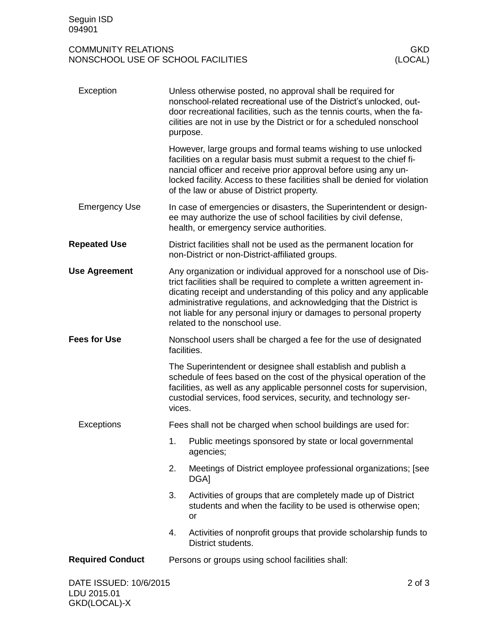## COMMUNITY RELATIONS<br>
NONSCHOOL USE OF SCHOOL FACILITIES<br>
(LOCAL) NONSCHOOL USE OF SCHOOL FACILITIES

| Exception               | Unless otherwise posted, no approval shall be required for<br>nonschool-related recreational use of the District's unlocked, out-<br>door recreational facilities, such as the tennis courts, when the fa-<br>cilities are not in use by the District or for a scheduled nonschool<br>purpose.                                                                                                     |  |  |
|-------------------------|----------------------------------------------------------------------------------------------------------------------------------------------------------------------------------------------------------------------------------------------------------------------------------------------------------------------------------------------------------------------------------------------------|--|--|
|                         | However, large groups and formal teams wishing to use unlocked<br>facilities on a regular basis must submit a request to the chief fi-<br>nancial officer and receive prior approval before using any un-<br>locked facility. Access to these facilities shall be denied for violation<br>of the law or abuse of District property.                                                                |  |  |
| <b>Emergency Use</b>    | In case of emergencies or disasters, the Superintendent or design-<br>ee may authorize the use of school facilities by civil defense,<br>health, or emergency service authorities.                                                                                                                                                                                                                 |  |  |
| <b>Repeated Use</b>     | District facilities shall not be used as the permanent location for<br>non-District or non-District-affiliated groups.                                                                                                                                                                                                                                                                             |  |  |
| <b>Use Agreement</b>    | Any organization or individual approved for a nonschool use of Dis-<br>trict facilities shall be required to complete a written agreement in-<br>dicating receipt and understanding of this policy and any applicable<br>administrative regulations, and acknowledging that the District is<br>not liable for any personal injury or damages to personal property<br>related to the nonschool use. |  |  |
| <b>Fees for Use</b>     | Nonschool users shall be charged a fee for the use of designated<br>facilities.                                                                                                                                                                                                                                                                                                                    |  |  |
|                         | The Superintendent or designee shall establish and publish a<br>schedule of fees based on the cost of the physical operation of the<br>facilities, as well as any applicable personnel costs for supervision,<br>custodial services, food services, security, and technology ser-<br>vices.                                                                                                        |  |  |
| Exceptions              | Fees shall not be charged when school buildings are used for:                                                                                                                                                                                                                                                                                                                                      |  |  |
|                         | 1. Public meetings sponsored by state or local governmental<br>agencies;                                                                                                                                                                                                                                                                                                                           |  |  |
|                         | 2.<br>Meetings of District employee professional organizations; [see<br>DGA]                                                                                                                                                                                                                                                                                                                       |  |  |
|                         | 3.<br>Activities of groups that are completely made up of District<br>students and when the facility to be used is otherwise open;<br>or                                                                                                                                                                                                                                                           |  |  |
|                         | Activities of nonprofit groups that provide scholarship funds to<br>4.<br>District students.                                                                                                                                                                                                                                                                                                       |  |  |
| <b>Required Conduct</b> | Persons or groups using school facilities shall:                                                                                                                                                                                                                                                                                                                                                   |  |  |